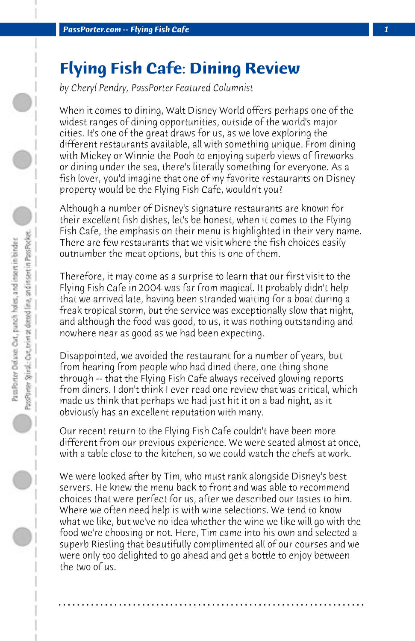## **Flying Fish Cafe: Dining Review**

*by Cheryl Pendry, PassPorter Featured Columnist*

When it comes to dining, Walt Disney World offers perhaps one of the widest ranges of dining opportunities, outside of the world's major cities. It's one of the great draws for us, as we love exploring the different restaurants available, all with something unique. From dining with Mickey or Winnie the Pooh to enjoying superb views of fireworks or dining under the sea, there's literally something for everyone. As a fish lover, you'd imagine that one of my favorite restaurants on Disney property would be the Flying Fish Cafe, wouldn't you?

Although a number of Disney's signature restaurants are known for their excellent fish dishes, let's be honest, when it comes to the Flying Fish Cafe, the emphasis on their menu is highlighted in their very name. There are few restaurants that we visit where the fish choices easily outnumber the meat options, but this is one of them.

Therefore, it may come as a surprise to learn that our first visit to the Flying Fish Cafe in 2004 was far from magical. It probably didn't help that we arrived late, having been stranded waiting for a boat during a freak tropical storm, but the service was exceptionally slow that night, and although the food was good, to us, it was nothing outstanding and nowhere near as good as we had been expecting.

Disappointed, we avoided the restaurant for a number of years, but from hearing from people who had dined there, one thing shone through -- that the Flying Fish Cafe always received glowing reports from diners. I don't think I ever read one review that was critical, which made us think that perhaps we had just hit it on a bad night, as it obviously has an excellent reputation with many.

Our recent return to the Flying Fish Cafe couldn't have been more different from our previous experience. We were seated almost at once, with a table close to the kitchen, so we could watch the chefs at work.

We were looked after by Tim, who must rank alongside Disney's best servers. He knew the menu back to front and was able to recommend choices that were perfect for us, after we described our tastes to him. Where we often need help is with wine selections. We tend to know what we like, but we've no idea whether the wine we like will go with the food we're choosing or not. Here, Tim came into his own and selected a superb Riesling that beautifully complimented all of our courses and we were only too delighted to go ahead and get a bottle to enjoy between the two of us.

**. . . . . . . . . . . . . . . . . . . . . . . . . . . . . . . . . . . . . . . . . . . . . . . . . . . . . . . . . . . . . . . . . .**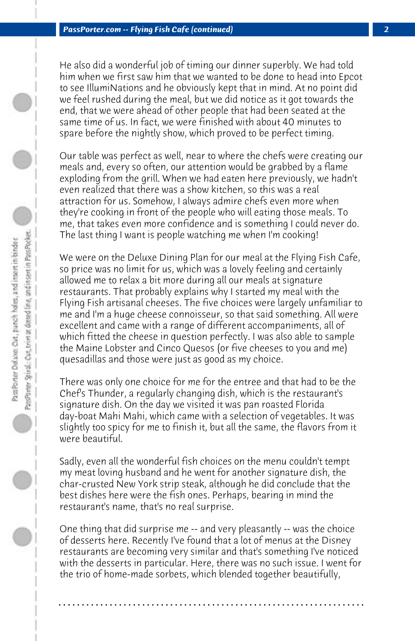He also did a wonderful job of timing our dinner superbly. We had told him when we first saw him that we wanted to be done to head into Epcot to see IllumiNations and he obviously kept that in mind. At no point did we feel rushed during the meal, but we did notice as it got towards the end, that we were ahead of other people that had been seated at the same time of us. In fact, we were finished with about 40 minutes to spare before the nightly show, which proved to be perfect timing.

Our table was perfect as well, near to where the chefs were creating our meals and, every so often, our attention would be grabbed by a flame exploding from the grill. When we had eaten here previously, we hadn't even realized that there was a show kitchen, so this was a real attraction for us. Somehow, I always admire chefs even more when they're cooking in front of the people who will eating those meals. To me, that takes even more confidence and is something I could never do. The last thing I want is people watching me when I'm cooking!

We were on the Deluxe Dining Plan for our meal at the Flying Fish Cafe, so price was no limit for us, which was a lovely feeling and certainly allowed me to relax a bit more during all our meals at signature restaurants. That probably explains why I started my meal with the Flying Fish artisanal cheeses. The five choices were largely unfamiliar to me and I'm a huge cheese connoisseur, so that said something. All were excellent and came with a range of different accompaniments, all of which fitted the cheese in question perfectly. I was also able to sample the Maine Lobster and Cinco Quesos (or five cheeses to you and me) quesadillas and those were just as good as my choice.

There was only one choice for me for the entree and that had to be the Chef's Thunder, a regularly changing dish, which is the restaurant's signature dish. On the day we visited it was pan roasted Florida day-boat Mahi Mahi, which came with a selection of vegetables. It was slightly too spicy for me to finish it, but all the same, the flavors from it were beautiful.

Sadly, even all the wonderful fish choices on the menu couldn't tempt my meat loving husband and he went for another signature dish, the char-crusted New York strip steak, although he did conclude that the best dishes here were the fish ones. Perhaps, bearing in mind the restaurant's name, that's no real surprise.

One thing that did surprise me -- and very pleasantly -- was the choice of desserts here. Recently I've found that a lot of menus at the Disney restaurants are becoming very similar and that's something I've noticed with the desserts in particular. Here, there was no such issue. I went for the trio of home-made sorbets, which blended together beautifully,

**. . . . . . . . . . . . . . . . . . . . . . . . . . . . . . . . . . . . . . . . . . . . . . . . . . . . . . . . . . . . . . . . . .**